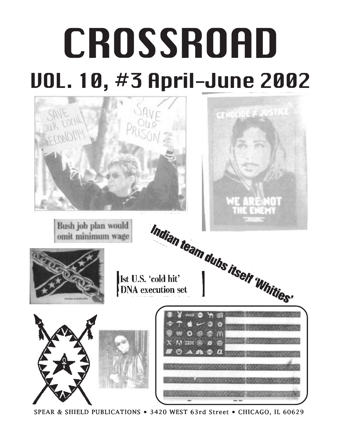# CROSSROAD VOL. 10, #3 April-June 2002



SPEAR & SHIELD PUBLICATIONS • 3420 WEST 63rd Street • CHICAGO, IL 60629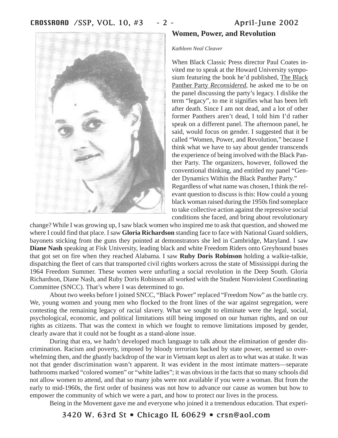

# **Women, Power, and Revolution**

#### *Kathleen Neal Cleaver*

When Black Classic Press director Paul Coates invited me to speak at the Howard University symposium featuring the book he'd published, The Black Panther Party *Reconsidered*, he asked me to be on the panel discussing the party's legacy. I dislike the term "legacy", to me it signifies what has been left after death. Since I am not dead, and a lot of other former Panthers aren't dead, I told him I'd rather speak on a different panel. The afternoon panel, he said, would focus on gender. I suggested that it be called "Women, Power, and Revolution," because I think what we have to say about gender transcends the experience of being involved with the Black Panther Party. The organizers, however, followed the conventional thinking, and entitled my panel "Gender Dynamics Within the Black Panther Party." Regardless of what name was chosen, I think the rel-

evant question to discuss is this: How could a young black woman raised during the 1950s find someplace to take collective action against the repressive social conditions she faced, and bring about revolutionary

change? While I was growing up, I saw black women who inspired me to ask that question, and showed me where I could find that place. I saw **Gloria Richardson** standing face to face with National Guard soldiers, bayonets sticking from the guns they pointed at demonstrators she led in Cambridge, Maryland. I saw **Diane Nash** speaking at Fisk University, leading black and white Freedom Riders onto Greyhound buses that got set on fire when they reached Alabama. I saw **Ruby Doris Robinson** holding a walkie-talkie, dispatching the fleet of cars that transported civil rights workers across the state of Mississippi during the 1964 Freedom Summer. These women were unfurling a social revolution in the Deep South. Gloria Richardson, Diane Nash, and Ruby Doris Robinson all worked with the Student Nonviolent Coordinating Committee (SNCC). That's where I was determined to go.

About two weeks before I joined SNCC, "Black Power" replaced "Freedom Now" as the battle cry. We, young women and young men who flocked to the front lines of the war against segregation, were contesting the remaining legacy of racial slavery. What we sought to eliminate were the legal, social, psychological, economic, and political limitations still being imposed on our human rights, and on our rights as citizens. That was the context in which we fought to remove limitations imposed by gender, clearly aware that it could not be fought as a stand-alone issue.

During that era, we hadn't developed much language to talk about the elimination of gender discrimination. Racism and poverty, imposed by bloody terrorists backed by state power, seemed so overwhelming then, and the ghastly backdrop of the war in Vietnam kept us alert as to what was at stake. It was not that gender discrimination wasn't apparent. It was evident in the most intimate matters—separate bathrooms marked "colored women" or "white ladies"; it was obvious in the facts that so many schools did not allow women to attend, and that so many jobs were not available if you were a woman. But from the early to mid-1960s, the first order of business was not how to advance our cause as women but how to empower the community of which we were a part, and how to protect our lives in the process.

Being in the Movement gave me and everyone who joined it a tremendous education. That experi-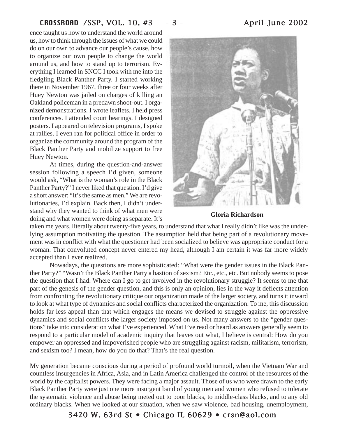# CROSSROAD /SSP, VOL. 10, #3 - 3 - April-June 2002

ence taught us how to understand the world around us, how to think through the issues of what we could do on our own to advance our people's cause, how to organize our own people to change the world around us, and how to stand up to terrorism. Everything I learned in SNCC I took with me into the fledgling Black Panther Party. I started working there in November 1967, three or four weeks after Huey Newton was jailed on charges of killing an Oakland policeman in a predawn shoot-out. I organized demonstrations. I wrote leaflets. I held press conferences. I attended court hearings. I designed posters. I appeared on television programs, I spoke at rallies. I even ran for political office in order to organize the community around the program of the Black Panther Party and mobilize support to free Huey Newton.

At times, during the question-and-answer session following a speech I'd given, someone would ask, "What is the woman's role in the Black Panther Party?" I never liked that question. I'd give a short answer: "It's the same as men." We are revolutionaries, I'd explain. Back then, I didn't understand why they wanted to think of what men were doing and what women were doing as separate. It's



#### **Gloria Richardson**

taken me years, literally about twenty-five years, to understand that what I really didn't like was the underlying assumption motivating the question. The assumption held that being part of a revolutionary movement was in conflict with what the questioner had been socialized to believe was appropriate conduct for a woman. That convoluted concept never entered my head, although I am certain it was far more widely accepted than I ever realized.

Nowadays, the questions are more sophisticated: "What were the gender issues in the Black Panther Party?" "Wasn't the Black Panther Party a bastion of sexism? Etc., etc., etc. But nobody seems to pose the question that I had: Where can I go to get involved in the revolutionary struggle? It seems to me that part of the genesis of the gender question, and this is only an opinion, lies in the way it deflects attention from confronting the revolutionary critique our organization made of the larger society, and turns it inward to look at what type of dynamics and social conflicts characterized the organization. To me, this discussion holds far less appeal than that which engages the means we devised to struggle against the oppressive dynamics and social conflicts the larger society imposed on us. Not many answers to the "gender questions" take into consideration what I've experienced. What I've read or heard as answers generally seem to respond to a particular model of academic inquiry that leaves out what, I believe is central: How do you empower an oppressed and impoverished people who are struggling against racism, militarism, terrorism, and sexism too? I mean, how do you do that? That's the real question.

My generation became conscious during a period of profound world turmoil, when the Vietnam War and countless insurgencies in Africa, Asia, and in Latin America challenged the control of the resources of the world by the capitalist powers. They were facing a major assault. Those of us who were drawn to the early Black Panther Party were just one more insurgent band of young men and women who refused to tolerate the systematic violence and abuse being meted out to poor blacks, to middle-class blacks, and to any old ordinary blacks. When we looked at our situation, when we saw violence, bad housing, unemployment,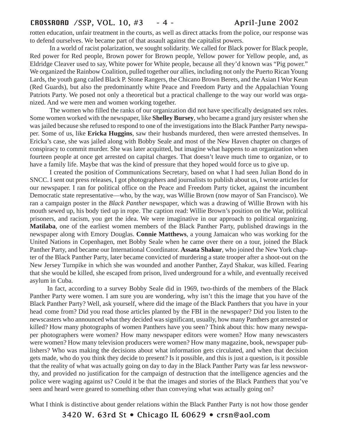## CROSSROAD /SSP, VOL. 10, #3 - 4 - April-June 2002

rotten education, unfair treatment in the courts, as well as direct attacks from the police, our response was to defend ourselves. We became part of that assault against the capitalist powers.

In a world of racist polarization, we sought solidarity. We called for Black power for Black people, Red power for Red people, Brown power for Brown people, Yellow power for Yellow people, and, as Eldridge Cleaver used to say, White power for White people, because all they'd known was "Pig power." We organized the Rainbow Coalition, pulled together our allies, including not only the Puerto Rican Young Lards, the youth gang called Black P. Stone Rangers, the Chicano Brown Berets, and the Asian I Wor Keun (Red Guards), but also the predominantly white Peace and Freedom Party and the Appalachian Young Patriots Party. We posed not only a theoretical but a practical challenge to the way our world was organized. And we were men and women working together.

The women who filled the ranks of our organization did not have specifically designated sex roles. Some women worked with the newspaper, like **Shelley Bursey**, who became a grand jury resister when she was jailed because she refused to respond to one of the investigations into the Black Panther Party newspaper. Some of us, like **Ericka Huggins**, saw their husbands murdered, then were arrested themselves. In Ericka's case, she was jailed along with Bobby Seale and most of the New Haven chapter on charges of conspiracy to commit murder. She was later acquitted, but imagine what happens to an organization when fourteen people at once get arrested on capital charges. That doesn't leave much time to organize, or to have a family life. Maybe that was the kind of pressure that they hoped would force us to give up.

I created the position of Communications Secretary, based on what I had seen Julian Bond do in SNCC. I sent out press releases, I got photographers and journalists to publish about us, I wrote articles for our newspaper. I ran for political office on the Peace and Freedom Party ticket, against the incumbent Democratic state representative—who, by the way, was Willie Brown (now mayor of San Francisco). We ran a campaign poster in the *Black Panther* newspaper, which was a drawing of Willie Brown with his mouth sewed up, his body tied up in rope. The caption read: Willie Brown's position on the War, political prisoners, and racism, you get the idea. We were imaginative in our approach to political organizing. **Matilaba**, one of the earliest women members of the Black Panther Party, published drawings in the newspaper along with Emory Douglas. **Connie Matthews**, a young Jamaican who was working for the United Nations in Copenhagen, met Bobby Seale when he came over there on a tour, joined the Black Panther Party, and became our International Coordinator. **Assata Shakur**, who joined the New York chapter of the Black Panther Party, later became convicted of murdering a state trooper after a shoot-out on the New Jersey Turnpike in which she was wounded and another Panther, Zayd Shakur, was killed. Fearing that she would be killed, she escaped from prison, lived underground for a while, and eventually received asylum in Cuba.

 In fact, according to a survey Bobby Seale did in 1969, two-thirds of the members of the Black Panther Party were women. I am sure you are wondering, why isn't this the image that you have of the Black Panther Party? Well, ask yourself, where did the image of the Black Panthers that you have in your head come from? Did you read those articles planted by the FBI in the newspaper? Did you listen to the newscasters who announced what they decided was significant, usually, how many Panthers got arrested or killed? How many photographs of women Panthers have you seen? Think about this: how many newspaper photographers were women? How many newspaper editors were women? How many newscasters were women? How many television producers were women? How many magazine, book, newspaper publishers? Who was making the decisions about what information gets circulated, and when that decision gets made, who do you think they decide to present? Is it possible, and this is just a question, is it possible that the reality of what was actually going on day to day in the Black Panther Party was far less newsworthy, and provided no justification for the campaign of destruction that the intelligence agencies and the police were waging against us? Could it be that the images and stories of the Black Panthers that you've seen and heard were geared to something other than conveying what was actually going on?

What I think is distinctive about gender relations within the Black Panther Party is not how those gender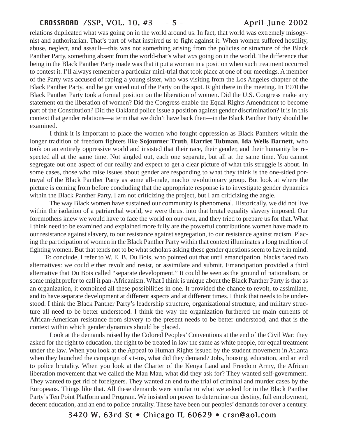# CROSSROAD /SSP, VOL. 10, #3 - 5 - April-June 2002

relations duplicated what was going on in the world around us. In fact, that world was extremely misogynist and authoritarian. That's part of what inspired us to fight against it. When women suffered hostility, abuse, neglect, and assault—this was not something arising from the policies or structure of the Black Panther Party, something absent from the world-that's what *was* going on in the world. The difference that being in the Black Panther Party made was that it put a woman in a position when such treatment occurred to contest it. I'll always remember a particular mini-trial that took place at one of our meetings. A member of the Party was accused of raping a young sister, who was visiting from the Los Angeles chapter of the Black Panther Party, and he got voted out of the Party on the spot. Right there in the meeting. In 1970 the Black Panther Party took a formal position on the liberation of women. Did the U.S. Congress make any statement on the liberation of women? Did the Congress enable the Equal Rights Amendment to become part of the Constitution? Did the Oakland police issue a position against gender discrimination? It is in this context that gender relations—a term that we didn't have back then—in the Black Panther Party should be examined.

I think it is important to place the women who fought oppression as Black Panthers within the longer tradition of freedom fighters like **Sojourner Truth**, **Harriet Tubman**, **Ida Wells Barnett**, who took on an entirely oppressive world and insisted that their race, their gender, and their humanity be respected all at the same time. Not singled out, each one separate, but all at the same time. You cannot segregate out one aspect of our reality and expect to get a clear picture of what this struggle is about. In some cases, those who raise issues about gender are responding to what they think is the one-sided portrayal of the Black Panther Party as some all-male, macho revolutionary group. But look at where the picture is coming from before concluding that the appropriate response is to investigate gender dynamics within the Black Panther Party. I am not criticizing the project, but I am criticizing the angle.

The way Black women have sustained our community is phenomenal. Historically, we did not live within the isolation of a patriarchal world, we were thrust into that brutal equality slavery imposed. Our foremothers knew we would have to face the world on our own, and they tried to prepare us for that. What I think need to be examined and explained more fully are the powerful contributions women have made to our resistance against slavery, to our resistance against segregation, to our resistance against racism. Placing the participation of women in the Black Panther Party within that context illuminates a long tradition of fighting women. But that tends not to be what scholars asking these gender questions seem to have in mind.

To conclude, I refer to W. E. B. Du Bois, who pointed out that until emancipation, blacks faced two alternatives: we could either revolt and resist, or assimilate and submit. Emancipation provided a third alternative that Du Bois called "separate development." It could be seen as the ground of nationalism, or some might prefer to call it pan-Africanism. What I think is unique about the Black Panther Party is that as an organization, it combined all these possibilities in one. It provided the chance to revolt, to assimilate, and to have separate development at different aspects and at different times. I think that needs to be understood. I think the Black Panther Party's leadership structure, organizational structure, and military structure all need to be better understood. I think the way the organization furthered the main currents of African-American resistance from slavery to the present needs to be better understood, and that is the context within which gender dynamics should be placed.

Look at the demands raised by the Colored Peoples' Conventions at the end of the Civil War: they asked for the right to education, the right to be treated in law the same as white people, for equal treatment under the law. When you look at the Appeal to Human Rights issued by the student movement in Atlanta when they launched the campaign of sit-ins, what did they demand? Jobs, housing, education, and an end to police brutality. When you look at the Charter of the Kenya Land and Freedom Army, the African liberation movement that we called the Mau Mau, what did they ask for? They wanted self-government. They wanted to get rid of foreigners. They wanted an end to the trial of criminal and murder cases by the Europeans. Things like that. All these demands were similar to what we asked for in the Black Panther Party's Ten Point Platform and Program. We insisted on power to determine our destiny, full employment, decent education, and an end to police brutality. These have been our peoples' demands for over a century.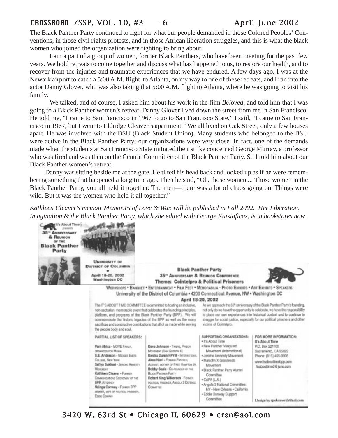# CROSSROAD /SSP, VOL. 10, #3 - 6 - April-June 2002

The Black Panther Party continued to fight for what our people demanded in those Colored Peoples' Conventions, in those civil rights protests, and in those African liberation struggles, and this is what the black women who joined the organization were fighting to bring about.

I am a part of a group of women, former Black Panthers, who have been meeting for the past few years. We hold retreats to come together and discuss what has happened to us, to restore our health, and to recover from the injuries and traumatic experiences that we have endured. A few days ago, I was at the Newark airport to catch a 5:00 A.M. flight to Atlanta, on my way to one of these retreats, and I ran into the actor Danny Glover, who was also taking that 5:00 A.M. flight to Atlanta, where he was going to visit his family.

We talked, and of course, I asked him about his work in the film *Beloved*, and told him that I was going to a Black Panther women's retreat. Danny Glover lived down the street from me in San Francisco. He told me, "I came to San Francisco in 1967 to go to San Francisco State." I said, "I came to San Francisco in 1967, but I went to Eldridge Cleaver's apartment." We all lived on Oak Street, only a few houses apart. He was involved with the BSU (Black Student Union). Many students who belonged to the BSU were active in the Black Panther Party; our organizations were very close. In fact, one of the demands made when the students at San Francisco State initiated their strike concerned George Murray, a professor who was fired and was then on the Central Committee of the Black Panther Party. So I told him about our Black Panther women's retreat.

 Danny was sitting beside me at the gate. He tilted his head back and looked up as if he were remembering something that happened a long time ago. Then he said, "Oh, those women.... Those women in the Black Panther Party, you all held it together. The men—there was a lot of chaos going on. Things were wild. But it was the women who held it all together."

*Kathleen Cleaver's memoir Memories of Love & War, will be published in Fall 2002. Her Liberation, Imagination & the Black Panther Party, which she edited with George Katsiaficas, is in bookstores now.*

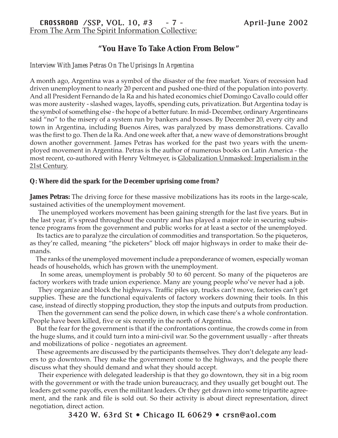# **"You Have To Take Action From Below"**

## *Interview With James Petras On The Uprisings In Argentina*

A month ago, Argentina was a symbol of the disaster of the free market. Years of recession had driven unemployment to nearly 20 percent and pushed one-third of the population into poverty. And all President Fernando de la Ra and his hated economics chief Domingo Cavallo could offer was more austerity - slashed wages, layoffs, spending cuts, privatization. But Argentina today is the symbol of something else - the hope of a better future. In mid- December, ordinary Argentineans said "no" to the misery of a system run by bankers and bosses. By December 20, every city and town in Argentina, including Buenos Aires, was paralyzed by mass demonstrations. Cavallo was the first to go. Then de la Ra. And one week after that, a new wave of demonstrations brought down another government. James Petras has worked for the past two years with the unemployed movement in Argentina. Petras is the author of numerous books on Latin America - the most recent, co-authored with Henry Veltmeyer, is Globalization Unmasked: Imperialism in the 21st Century.

## **Q: Where did the spark for the December uprising come from?**

**James Petras:** The driving force for these massive mobilizations has its roots in the large-scale, sustained activities of the unemployment movement.

 The unemployed workers movement has been gaining strength for the last five years. But in the last year, it's spread throughout the country and has played a major role in securing subsistence programs from the government and public works for at least a sector of the unemployed.

 Its tactics are to paralyze the circulation of commodities and transportation. So the piqueteros, as they're called, meaning "the picketers" block off major highways in order to make their demands.

 The ranks of the unemployed movement include a preponderance of women, especially woman heads of households, which has grown with the unemployment.

 In some areas, unemployment is probably 50 to 60 percent. So many of the piqueteros are factory workers with trade union experience. Many are young people who've never had a job.

 They organize and block the highways. Traffic piles up, trucks can't move, factories can't get supplies. These are the functional equivalents of factory workers downing their tools. In this case, instead of directly stopping production, they stop the inputs and outputs from production.

 Then the government can send the police down, in which case there's a whole confrontation. People have been killed, five or six recently in the north of Argentina.

 But the fear for the government is that if the confrontations continue, the crowds come in from the huge slums, and it could turn into a mini-civil war. So the government usually - after threats and mobilizations of police - negotiates an agreement.

 These agreements are discussed by the participants themselves. They don't delegate any leaders to go downtown. They make the government come to the highways, and the people there discuss what they should demand and what they should accept.

 Their experience with delegated leadership is that they go downtown, they sit in a big room with the government or with the trade union bureaucracy, and they usually get bought out. The leaders get some payoffs, even the militant leaders. Or they get drawn into some tripartite agreement, and the rank and file is sold out. So their activity is about direct representation, direct negotiation, direct action.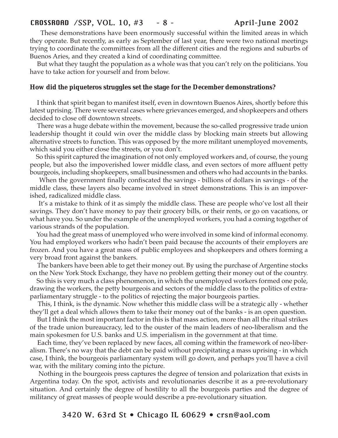## CROSSROAD /SSP, VOL. 10, #3 - 8 - April-June 2002

 These demonstrations have been enormously successful within the limited areas in which they operate. But recently, as early as September of last year, there were two national meetings trying to coordinate the committees from all the different cities and the regions and suburbs of Buenos Aries, and they created a kind of coordinating committee.

 But what they taught the population as a whole was that you can't rely on the politicians. You have to take action for yourself and from below.

#### **How did the piqueteros struggles set the stage for the December demonstrations?**

 I think that spirit began to manifest itself, even in downtown Buenos Aires, shortly before this latest uprising. There were several cases where grievances emerged, and shopkeepers and others decided to close off downtown streets.

 There was a huge debate within the movement, because the so-called progressive trade union leadership thought it could win over the middle class by blocking main streets but allowing alternative streets to function. This was opposed by the more militant unemployed movements, which said you either close the streets, or you don't.

 So this spirit captured the imagination of not only employed workers and, of course, the young people, but also the impoverished lower middle class, and even sectors of more affluent petty bourgeois, including shopkeepers, small businessmen and others who had accounts in the banks.

 When the government finally confiscated the savings - billions of dollars in savings - of the middle class, these layers also became involved in street demonstrations. This is an impoverished, radicalized middle class.

 It's a mistake to think of it as simply the middle class. These are people who've lost all their savings. They don't have money to pay their grocery bills, or their rents, or go on vacations, or what have you. So under the example of the unemployed workers, you had a coming together of various strands of the population.

 You had the great mass of unemployed who were involved in some kind of informal economy. You had employed workers who hadn't been paid because the accounts of their employers are frozen. And you have a great mass of public employees and shopkeepers and others forming a very broad front against the bankers.

 The bankers have been able to get their money out. By using the purchase of Argentine stocks on the New York Stock Exchange, they have no problem getting their money out of the country.

 So this is very much a class phenomenon, in which the unemployed workers formed one pole, drawing the workers, the petty bourgeois and sectors of the middle class to the politics of extraparliamentary struggle - to the politics of rejecting the major bourgeois parties.

 This, I think, is the dynamic. Now whether this middle class will be a strategic ally - whether they'll get a deal which allows them to take their money out of the banks - is an open question.

 But I think the most important factor in this is that mass action, more than all the ritual strikes of the trade union bureaucracy, led to the ouster of the main leaders of neo-liberalism and the main spokesmen for U.S. banks and U.S. imperialism in the government at that time.

 Each time, they've been replaced by new faces, all coming within the framework of neo-liberalism. There's no way that the debt can be paid without precipitating a mass uprising - in which case, I think, the bourgeois parliamentary system will go down, and perhaps you'll have a civil war, with the military coming into the picture.

 Nothing in the bourgeois press captures the degree of tension and polarization that exists in Argentina today. On the spot, activists and revolutionaries describe it as a pre-revolutionary situation. And certainly the degree of hostility to all the bourgeois parties and the degree of militancy of great masses of people would describe a pre-revolutionary situation.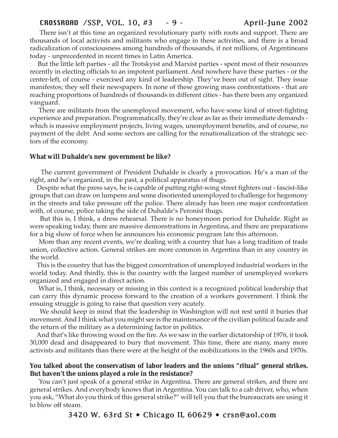There isn't at this time an organized revolutionary party with roots and support. There are thousands of local activists and militants who engage in these activities, and there is a broad radicalization of consciousness among hundreds of thousands, if not millions, of Argentineans today - unprecedented in recent times in Latin America.

 But the little left parties - all the Trotskyist and Marxist parties - spent most of their resources recently in electing officials to an impotent parliament. And nowhere have these parties - or the center-left, of course - exercised any kind of leadership. They've been out of sight. They issue manifestos; they sell their newspapers. In none of these growing mass confrontations - that are reaching proportions of hundreds of thousands in different cities - has there been any organized vanguard.

 There are militants from the unemployed movement, who have some kind of street-fighting experience and preparation. Programmatically, they're clear as far as their immediate demands which is massive employment projects, living wages, unemployment benefits, and of course, no payment of the debt. And some sectors are calling for the renationalization of the strategic sectors of the economy.

## **What will Duhalde's new government be like?**

 The current government of President Duhalde is clearly a provocation. He's a man of the right, and he's organized, in the past, a political apparatus of thugs.

 Despite what the press says, he is capable of putting right-wing street fighters out - fascist-like groups that can draw on lumpens and some disoriented unemployed to challenge for hegemony in the streets and take pressure off the police. There already has been one major confrontation with, of course, police taking the side of Duhalde's Peronist thugs.

 But this is, I think, a dress rehearsal. There is no honeymoon period for Duhalde. Right as were speaking today, there are massive demonstrations in Argentina, and there are preparations for a big show of force when he announces his economic program late this afternoon.

 More than any recent events, we're dealing with a country that has a long tradition of trade union, collective action. General strikes are more common in Argentina than in any country in the world.

 This is the country that has the biggest concentration of unemployed industrial workers in the world today. And thirdly, this is the country with the largest number of unemployed workers organized and engaged in direct action.

 What is, I think, necessary or missing in this context is a recognized political leadership that can carry this dynamic process forward to the creation of a workers government. I think the ensuing struggle is going to raise that question very acutely.

 We should keep in mind that the leadership in Washington will not rest until it buries that movement. And I think what you might see is the maintenance of the civilian political facade and the return of the military as a determining factor in politics.

 And that's like throwing wood on the fire. As we saw in the earlier dictatorship of 1976, it took 30,000 dead and disappeared to bury that movement. This time, there are many, many more activists and militants than there were at the height of the mobilizations in the 1960s and 1970s.

## **You talked about the conservatism of labor leaders and the unions "ritual" general strikes. But haven't the unions played a role in the resistance?**

 You can't just speak of a general strike in Argentina. There are general strikes, and there are general strikes. And everybody knows that in Argentina. You can talk to a cab driver, who, when you ask, "What do you think of this general strike?" will tell you that the bureaucrats are using it to blow off steam.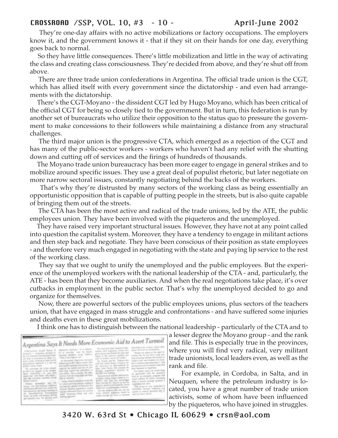#### CROSSROAD / SSP, VOL. 10, #3 - 10 - April-June 2002

 They're one-day affairs with no active mobilizations or factory occupations. The employers know it, and the government knows it - that if they sit on their hands for one day, everything goes back to normal.

 So they have little consequences. There's little mobilization and little in the way of activating the class and creating class consciousness. They're decided from above, and they're shut off from above.

 There are three trade union confederations in Argentina. The official trade union is the CGT, which has allied itself with every government since the dictatorship - and even had arrangements with the dictatorship.

 There's the CGT-Moyano - the dissident CGT led by Hugo Moyano, which has been critical of the official CGT for being so closely tied to the government. But in turn, this federation is run by another set of bureaucrats who utilize their opposition to the status quo to pressure the government to make concessions to their followers while maintaining a distance from any structural challenges.

 The third major union is the progressive CTA, which emerged as a rejection of the CGT and has many of the public-sector workers - workers who haven't had any relief with the shutting down and cutting off of services and the firings of hundreds of thousands.

 The Moyano trade union bureaucracy has been more eager to engage in general strikes and to mobilize around specific issues. They use a great deal of populist rhetoric, but later negotiate on more narrow sectoral issues, constantly negotiating behind the backs of the workers.

 That's why they're distrusted by many sectors of the working class as being essentially an opportunistic opposition that is capable of putting people in the streets, but is also quite capable of bringing them out of the streets.

 The CTA has been the most active and radical of the trade unions, led by the ATE, the public employees union. They have been involved with the piqueteros and the unemployed.

 They have raised very important structural issues. However, they have not at any point called into question the capitalist system. Moreover, they have a tendency to engage in militant actions and then step back and negotiate. They have been conscious of their position as state employees - and therefore very much engaged in negotiating with the state and paying lip service to the rest of the working class.

 They say that we ought to unify the unemployed and the public employees. But the experience of the unemployed workers with the national leadership of the CTA - and, particularly, the ATE - has been that they become auxiliaries. And when the real negotiations take place, it's over cutbacks in employment in the public sector. That's why the unemployed decided to go and organize for themselves.

 Now, there are powerful sectors of the public employees unions, plus sectors of the teachers union, that have engaged in mass struggle and confrontations - and have suffered some injuries and deaths even in these great mobilizations.

I think one has to distinguish between the national leadership - particularly of the CTA and to

| A monting Says It Needs More Economic Aid to Avert Turmoil |  |  |  |  |  |  |  |
|------------------------------------------------------------|--|--|--|--|--|--|--|
|------------------------------------------------------------|--|--|--|--|--|--|--|

a lesser degree the Moyano group - and the rank and file. This is especially true in the provinces, where you will find very radical, very militant trade unionists, local leaders even, as well as the rank and file.

 For example, in Cordoba, in Salta, and in Neuquen, where the petroleum industry is located, you have a great number of trade union activists, some of whom have been influenced by the piqueteros, who have joined in struggles.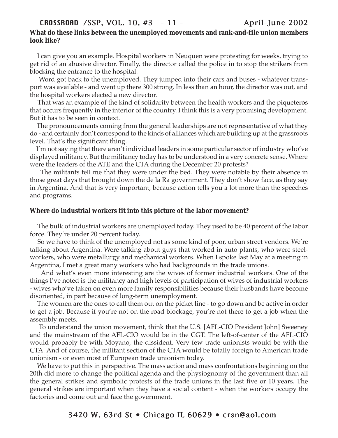#### CROSSROAD / SSP, VOL. 10, #3 - 11 - April-June 2002

# **What do these links between the unemployed movements and rank-and-file union members look like?**

 I can give you an example. Hospital workers in Neuquen were protesting for weeks, trying to get rid of an abusive director. Finally, the director called the police in to stop the strikers from blocking the entrance to the hospital.

 Word got back to the unemployed. They jumped into their cars and buses - whatever transport was available - and went up there 300 strong. In less than an hour, the director was out, and the hospital workers elected a new director.

 That was an example of the kind of solidarity between the health workers and the piqueteros that occurs frequently in the interior of the country. I think this is a very promising development. But it has to be seen in context.

 The pronouncements coming from the general leaderships are not representative of what they do - and certainly don't correspond to the kinds of alliances which are building up at the grassroots level. That's the significant thing.

 I'm not saying that there aren't individual leaders in some particular sector of industry who've displayed militancy. But the militancy today has to be understood in a very concrete sense. Where were the leaders of the ATE and the CTA during the December 20 protests?

 The militants tell me that they were under the bed. They were notable by their absence in those great days that brought down the de la Ra government. They don't show face, as they say in Argentina. And that is very important, because action tells you a lot more than the speeches and programs.

## **Where do industrial workers fit into this picture of the labor movement?**

 The bulk of industrial workers are unemployed today. They used to be 40 percent of the labor force. They're under 20 percent today.

 So we have to think of the unemployed not as some kind of poor, urban street vendors. We're talking about Argentina. Were talking about guys that worked in auto plants, who were steelworkers, who were metallurgy and mechanical workers. When I spoke last May at a meeting in Argentina, I met a great many workers who had backgrounds in the trade unions.

 And what's even more interesting are the wives of former industrial workers. One of the things I've noted is the militancy and high levels of participation of wives of industrial workers - wives who've taken on even more family responsibilities because their husbands have become disoriented, in part because of long-term unemployment.

 The women are the ones to call them out on the picket line - to go down and be active in order to get a job. Because if you're not on the road blockage, you're not there to get a job when the assembly meets.

 To understand the union movement, think that the U.S. [AFL-CIO President John] Sweeney and the mainstream of the AFL-CIO would be in the CGT. The left-of-center of the AFL-CIO would probably be with Moyano, the dissident. Very few trade unionists would be with the CTA. And of course, the militant section of the CTA would be totally foreign to American trade unionism - or even most of European trade unionism today.

 We have to put this in perspective. The mass action and mass confrontations beginning on the 20th did more to change the political agenda and the physiognomy of the government than all the general strikes and symbolic protests of the trade unions in the last five or 10 years. The general strikes are important when they have a social content - when the workers occupy the factories and come out and face the government.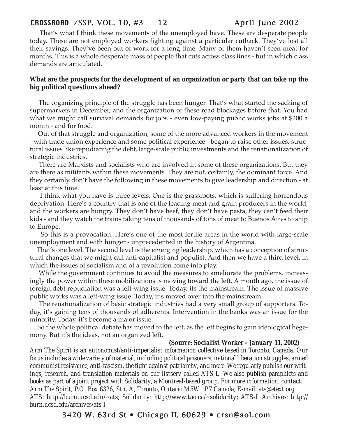## CROSSROAD /SSP, VOL. 10, #3 - 12 - April-June 2002

 That's what I think these movements of the unemployed have. These are desperate people today. These are not employed workers fighting against a particular cutback. They've lost all their savings. They've been out of work for a long time. Many of them haven't seen meat for months. This is a whole desperate mass of people that cuts across class lines - but in which class demands are articulated.

#### **What are the prospects for the development of an organization or party that can take up the big political questions ahead?**

 The organizing principle of the struggle has been hunger. That's what started the sacking of supermarkets in December, and the organization of these road blockages before that. You had what we might call survival demands for jobs - even low-paying public works jobs at \$200 a month - and for food.

 Out of that struggle and organization, some of the more advanced workers in the movement - with trade union experience and some political experience - began to raise other issues, structural issues like repudiating the debt, large-scale public investments and the renationalization of strategic industries.

 There are Marxists and socialists who are involved in some of these organizations. But they are there as militants within these movements. They are not, certainly, the dominant force. And they certainly don't have the following in these movements to give leadership and direction - at least at this time.

 I think what you have is three levels. One is the grassroots, which is suffering horrendous deprivation. Here's a country that is one of the leading meat and grain producers in the world, and the workers are hungry. They don't have beef, they don't have pasta, they can't feed their kids - and they watch the trains taking tens of thousands of tons of meat to Buenos Aires to ship to Europe.

 So this is a provocation. Here's one of the most fertile areas in the world with large-scale unemployment and with hunger - unprecedented in the history of Argentina.

 That's one level. The second level is the emerging leadership, which has a conception of structural changes that we might call anti-capitalist and populist. And then we have a third level, in which the issues of socialism and of a revolution come into play.

 While the government continues to avoid the measures to ameliorate the problems, increasingly the power within these mobilizations is moving toward the left. A month ago, the issue of foreign debt repudiation was a left-wing issue. Today, its the mainstream. The issue of massive public works was a left-wing issue. Today, it's moved over into the mainstream.

 The renationalization of basic strategic industries had a very small group of supporters. Today, it's gaining tens of thousands of adherents. Intervention in the banks was an issue for the minority. Today, it's become a major issue.

 So the whole political debate has moved to the left, as the left begins to gain ideological hegemony. But it's the ideas, not an organized left.

#### *(Source: Socialist Worker - January 11, 2002)*

*Arm The Spirit is an autonomist/anti-imperialist information collective based in Toronto, Canada. Our focus includes a wide variety of material, including political prisoners, national liberation struggles, armed communist resistance, anti-fascism, the fight against patriarchy, and more. We regularly publish our writings, research, and translation materials on our listserv called ATS-L. We also publish pamphlets and books as part of a joint project with Solidarity, a Montreal-based group. For more information, contact: Arm The Spirit, P.O. Box 6326, Stn. A, Toronto, Ontario M5W 1P7 Canada; E-mail: ats@etext.org ATS: http://burn.ucsd.edu/~ats; Solidarity: http://www.tao.ca/~solidarity; ATS-L Archives: http:// burn.ucsd.edu/archives/ats-l*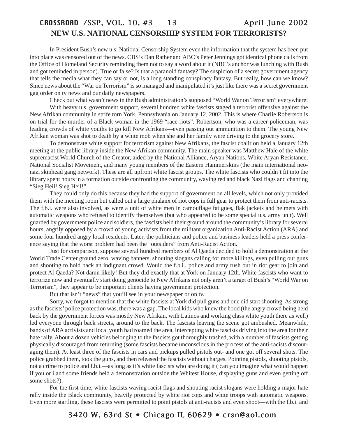# CROSSROAD /SSP, VOL. 10, #3 - 13 - April-June 2002 **NEW U.S. NATIONAL CENSORSHIP SYSTEM FOR TERRORISTS?**

In President Bush's new u.s. National Censorship System even the information that the system has been put into place was censored out of the news. CBS's Dan Rather and ABC's Peter Jennings got identical phone calls from the Office of Homeland Security reminding them not to say a word about it (NBC's anchor was lunching with Bush and got reminded in person). True or false? Is that a paranoid fantasy? The suspicion of a secret government agency that tells the media what they can say or not, is a long standing conspiracy fantasy. But really, how can we know? Since news about the "War on Terrorism" is so managed and manipulated it's just like there was a secret government gag order on tv news and our daily newspapers.

Check out what wasn't news in the Bush administration's supposed "World War on Terrorism" everywhere:

With heavy u.s. government support, several hundred white fascists staged a terrorist offensive against the New Afrikan community in strife torn York, Pennsylvania on January 12, 2002. This is where Charlie Robertson is on trial for the murder of a Black woman in the 1969 "race riots". Robertson, who was a career policeman, was leading crowds of white youths to go kill New Afrikans—even passing out ammunition to them. The young New Afrikan woman was shot to death by a white mob when she and her family were driving to the grocery store.

To demonstrate white support for terrorism against New Afrikans, the fascist coalition held a January 12th meeting at the public library inside the New Afrikan community. The main speaker was Matthew Hale of the white supremacist World Church of the Creator, aided by the National Alliance, Aryan Nations, White Aryan Resistance, National Socialist Movement, and many young members of the Eastern Hammerskins (the main international neonazi skinhead gang network). These are all upfront white fascist groups. The white fascists who couldn't fit into the library spent hours in a formation outside confronting the community, waving red and black Nazi flags and chanting "Sieg Heil! Sieg Heil!"

They could only do this because they had the support of government on all levels, which not only provided them with the meeting room but called out a large phalanx of riot cops in full gear to protect them from anti-racists. The f.b.i. were also involved, as were a unit of white men in camouflage fatigues, flak jackets and helmets with automatic weapons who refused to identify themselves (but who appeared to be some special u.s. army unit). Well guarded by government police and soldiers, the fascists held their ground around the community's library for several hours, angrily opposed by a crowd of young activists from the militant organization Anti-Racist Action (ARA) and some four hundred angry local residents. Later, the politicians and police and business leaders held a press conference saying that the worst problem had been the "outsiders" from Anti-Racist Action.

Just for comparison, suppose several hundred members of Al Qaeda decided to hold a demonstration at the World Trade Center ground zero, waving banners, shouting slogans calling for more killings, even pulling out guns and shooting to hold back an indignant crowd. Would the f.b.i., police and army rush out in riot gear to join and protect Al Qaeda? Not damn likely! But they did exactly that at York on January 12th. White fascists who want to terrorize now and eventually start doing genocide to New Afrikans not only aren't a target of Bush's "World War on Terrorism", they appear to be important clients having government protection.

But that isn't "news" that you'll see in your newspaper or on tv.

Sorry, we forgot to mention that the white fascists at York did pull guns and one did start shooting. As strong as the fascists' police protection was, there was a gap. The local kids who knew the hood (the angry crowd being held back by the government forces was mostly New Afrikan, with Latinos and working class white youth there as well) led everyone through back streets, around to the back. The fascists leaving the scene got ambushed. Meanwhile, bands of ARA activists and local youth had roamed the area, intercepting white fascists driving into the area for their hate rally. About a dozen vehicles belonging to the fascists got thoroughly trashed, with a number of fascists getting physically discouraged from returning (some fascists became unconscious in the process of the anti-racists discouraging them). At least three of the fascists in cars and pickups pulled pistols out- and one got off several shots. The police grabbed them, took the guns, and then released the fascists without charges. Pointing pistols, shooting pistols, not a crime to police and f.b.i.—as long as it's white fascists who are doing it ( can you imagine what would happen if you or i and some friends held a demonstration outside the Whitest House, displaying guns and even getting off some shots?).

For the first time, white fascists waving racist flags and shouting racist slogans were holding a major hate rally inside the Black community, heavily protected by white riot cops and white troops with automatic weapons. Even more startling, these fascists were permitted to point pistols at anti-racists and even shoot—with the f.b.i. and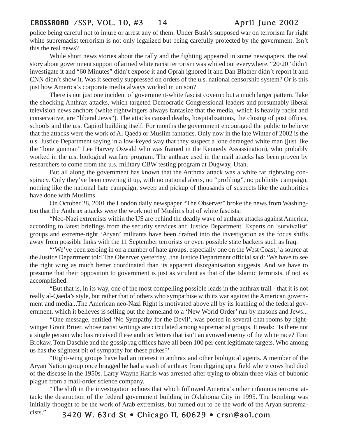# CROSSROAD /SSP, VOL. 10, #3 - 14 - April-June 2002

police being careful not to injure or arrest any of them. Under Bush's supposed war on terrorism far right white supremacist terrorism is not only legalized but being carefully protected by the government. Isn't this the real news?

While short news stories about the rally and the fighting appeared in some newspapers, the real story about government support of armed white racist terrorism was whited out everywhere. "20/20" didn't investigate it and "60 Minutes" didn't expose it and Oprah ignored it and Dan Blather didn't report it and CNN didn't show it. Was it secretly suppressed on orders of the u.s. national censorship system? Or is this just how America's corporate media always worked in unison?

There is not just one incident of government-white fascist coverup but a much larger pattern. Take the shocking Anthrax attacks, which targeted Democratic Congressional leaders and presumably liberal television news anchors (white rightwingers always fantasize that the media, which is heavily racist and conservative, are "liberal Jews"). The attacks caused deaths, hospitalizations, the closing of post offices, schools and the u.s. Capitol building itself. For months the government encouraged the public to believe that the attacks were the work of Al Qaeda or Muslim fantatics. Only now in the late Winter of 2002 is the u.s. Justice Department saying in a low-keyed way that they suspect a lone deranged white man (just like the "lone gunman" Lee Harvey Oswald who was framed in the Kennedy Assassination), who probably worked in the u.s. biological warfare program. The anthrax used in the mail attacks has been proven by researchers to come from the u.s. military CBW testing program at Dugway, Utah.

But all along the government has known that the Anthrax attack was a white far rightwing conspiracy. Only they've been covering it up, with no national alerts, no "profiling", no publicity campaign, nothing like the national hate campaign, sweep and pickup of thousands of suspects like the authorities have done with Muslims.

On October 28, 2001 the London daily newspaper "The Observer" broke the news from Washington that the Anthrax attacks were the work not of Muslims but of white fascists:

"Neo-Nazi extremists within the US are behind the deadly wave of anthrax attacks against America, according to latest briefings from the security services and Justice Department. Experts on 'survivalist' groups and extreme-right 'Aryan' militants have been drafted into the investigation as the focus shifts away from possible links with the 11 September terrorists or even possible state backers such as Iraq.

"We've been zeroing in on a number of hate groups, especially one on the West Coast,' a source at the Justice Department told The Observer yesterday...the Justice Department official said: 'We have to see the right wing as much better coordinated than its apparent disorganisation suggests. And we have to presume that their opposition to government is just as virulent as that of the Islamic terrorists, if not as accomplished.

"But that is, in its way, one of the most compelling possible leads in the anthrax trail - that it is not really al-Qaeda's style, but rather that of others who sympathise with its war against the American government and media...The American neo-Nazi Right is motivated above all by its loathing of the federal government, which it believes is selling out the homeland to a 'New World Order' run by masons and Jews...

"One message, entitled 'No Sympathy for the Devil', was posted in several chat rooms by rightwinger Grant Bruer, whose racist writings are circulated among supremacist groups. It reads: 'Is there not a single person who has received these anthrax letters that isn't an avowed enemy of the white race? Tom Brokaw, Tom Daschle and the gossip rag offices have all been 100 per cent legitimate targets. Who among us has the slightest bit of sympathy for these pukes?'

"Right-wing groups have had an interest in anthrax and other biological agents. A member of the Aryan Nation group once bragged he had a stash of anthrax from digging up a field where cows had died of the disease in the 1950s. Larry Wayne Harris was arrested after trying to obtain three vials of bubonic plague from a mail-order science company.

"The shift in the investigation echoes that which followed America's other infamous terrorist attack: the destruction of the federal government building in Oklahoma City in 1995. The bombing was initially thought to be the work of Arab extremists, but turned out to be the work of the Aryan supremacists."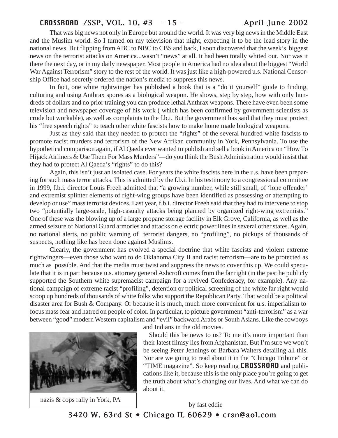## CROSSROAD /SSP, VOL. 10, #3 - 15 - April-June 2002

That was big news not only in Europe but around the world. It was very big news in the Middle East and the Muslim world. So I turned on my television that night, expecting it to be the lead story in the national news. But flipping from ABC to NBC to CBS and back, I soon discovered that the week's biggest news on the terrorist attacks on America...wasn't "news" at all. It had been totally whited out. Nor was it there the next day, or in my daily newspaper. Most people in America had no idea about the biggest "World War Against Terrorism" story to the rest of the world. It was just like a high-powered u.s. National Censorship Office had secretly ordered the nation's media to suppress this news.

In fact, one white rightwinger has published a book that is a "do it yourself" guide to finding, culturing and using Anthrax spores as a biological weapon. He shows, step by step, how with only hundreds of dollars and no prior training you can produce lethal Anthrax weapons. There have even been some television and newspaper coverage of his work ( which has been confirmed by government scientists as crude but workable), as well as complaints to the f.b.i. But the government has said that they must protect his "free speech rights" to teach other white fascists how to make home made biological weapons.

Just as they said that they needed to protect the "rights" of the several hundred white fascists to promote racist murders and terrorism of the New Afrikan community in York, Pennsylvania. To use the hypothetical comparison again, if Al Qaeda ever wanted to publish and sell a book in America on "How To Hijack Airliners & Use Them For Mass Murders"—do you think the Bush Administration would insist that they had to protect Al Qaeda's "rights" to do this?

Again, this isn't just an isolated case. For years the white fascists here in the u.s. have been preparing for such mass terror attacks. This is admitted by the f.b.i. In his testimony to a congressional committee in 1999, f.b.i. director Louis Freeh admitted that "a growing number, while still small, of 'lone offender' and extremist splinter elements of right-wing groups have been identified as possessing or attempting to develop or use" mass terrorist devices. Last year, f.b.i. director Freeh said that they had to intervene to stop two "potentially large-scale, high-casualty attacks being planned by organized right-wing extremists." One of these was the blowing up of a large propane storage facility in Elk Grove, California, as well as the armed seizure of National Guard armories and attacks on electric power lines in several other states. Again, no national alerts, no public warning of terrorist dangers, no "profiling", no pickups of thousands of suspects, nothing like has been done against Muslims.

Clearly, the government has evolved a special doctrine that white fascists and violent extreme rightwingers—even those who want to do Oklahoma City II and racist terrorism—are to be protected as much as possible. And that the media must twist and suppress the news to cover this up. We could speculate that it is in part because u.s. attorney general Ashcroft comes from the far right (in the past he publicly supported the Southern white supremacist campaign for a revived Confederacy, for example). Any national campaign of extreme racist "profiling", detention or political screening of the white far right would scoop up hundreds of thousands of white folks who support the Republican Party. That would be a political disaster area for Bush & Company. Or because it is much, much more convenient for u.s. imperialism to focus mass fear and hatred on people of color. In particular, to picture government "anti-terrorism" as a war between "good" modern Western capitalism and "evil" backward Arabs or South Asians. Like the cowboys



nazis & cops rally in York, PA by fast eddie

and Indians in the old movies.

Should this be news to us? To me it's more important than their latest flimsy lies from Afghanistan. But I'm sure we won't be seeing Peter Jennings or Barbara Walters detailing all this. Nor are we going to read about it in the "Chicago Tribune" or "TIME magazine". So keep reading **CROSSROAD** and publications like it, because this is the only place you're going to get the truth about what's changing our lives. And what we can do about it.